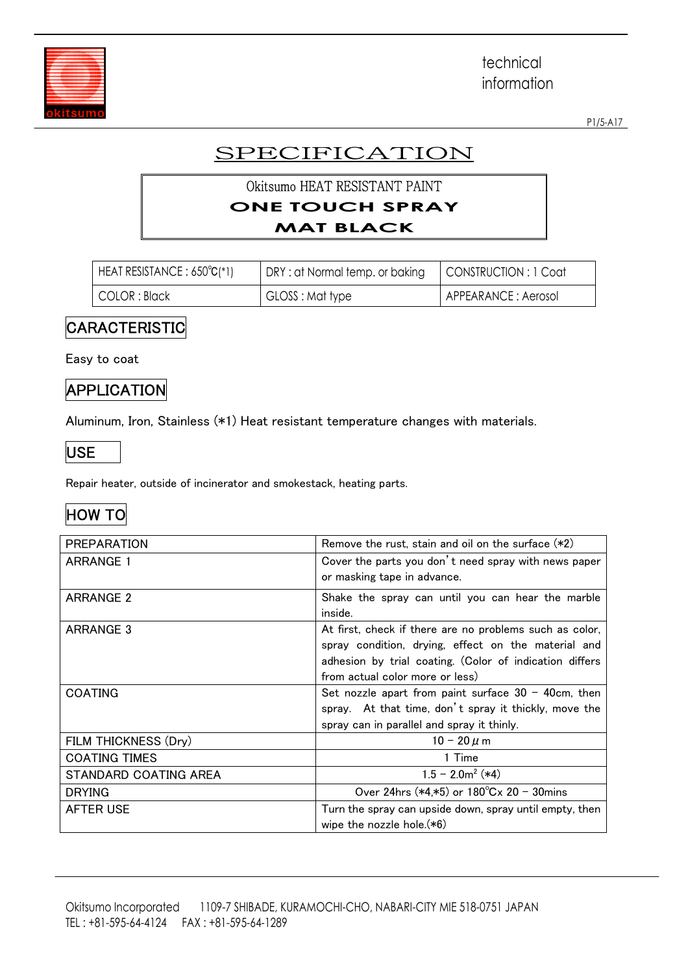

P1/5-A17

# **SPECIFICATION**

#### Okitsumo HEAT RESISTANT PAINT **ONE TOUCH SPRAY MAT BLACK**

| $HEAT RESISTANCE: 650°C(*1)$ | DRY: at Normal temp. or baking | CONSTRUCTION : 1 Coat |
|------------------------------|--------------------------------|-----------------------|
| COLOR : Black                | GLOSS: Mat type                | APPEARANCE : Aerosol  |

#### CARACTERISTIC

Easy to coat

## **APPLICATION**

Aluminum, Iron, Stainless (\*1) Heat resistant temperature changes with materials.



Repair heater, outside of incinerator and smokestack, heating parts.

## HOW TO

| <b>PREPARATION</b>    | Remove the rust, stain and oil on the surface $(*2)$    |  |
|-----------------------|---------------------------------------------------------|--|
| <b>ARRANGE 1</b>      | Cover the parts you don't need spray with news paper    |  |
|                       | or masking tape in advance.                             |  |
| ARRANGE 2             | Shake the spray can until you can hear the marble       |  |
|                       | inside.                                                 |  |
| <b>ARRANGE 3</b>      | At first, check if there are no problems such as color, |  |
|                       | spray condition, drying, effect on the material and     |  |
|                       | adhesion by trial coating. (Color of indication differs |  |
|                       | from actual color more or less)                         |  |
| <b>COATING</b>        | Set nozzle apart from paint surface $30 - 40$ cm, then  |  |
|                       | spray. At that time, don't spray it thickly, move the   |  |
|                       | spray can in parallel and spray it thinly.              |  |
| FILM THICKNESS (Dry)  | 10 - 20 $\mu$ m                                         |  |
| <b>COATING TIMES</b>  | 1 Time                                                  |  |
| STANDARD COATING AREA | $1.5 - 2.0m^2$ (*4)                                     |  |
| <b>DRYING</b>         | Over 24hrs $(*4, *5)$ or $180^{\circ}$ Cx 20 - 30mins   |  |
| <b>AFTER USE</b>      | Turn the spray can upside down, spray until empty, then |  |
|                       | wipe the nozzle hole.(*6)                               |  |